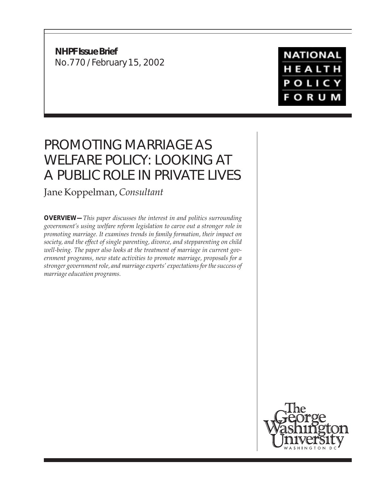**NHPF Issue Brief** No.770 / February 15, 2002

# **NATIONAL** HEALTH POLICY **FORUM**

# PROMOTING MARRIAGE AS WELFARE POLICY: LOOKING AT A PUBLIC ROLE IN PRIVATE LIVES

Jane Koppelman, *Consultant*

**OVERVIEW—***This paper discusses the interest in and politics surrounding government's using welfare reform legislation to carve out a stronger role in promoting marriage. It examines trends in family formation, their impact on society, and the effect of single parenting, divorce, and stepparenting on child well-being. The paper also looks at the treatment of marriage in current government programs, new state activities to promote marriage, proposals for a stronger government role, and marriage experts' expectations for the success of marriage education programs.*

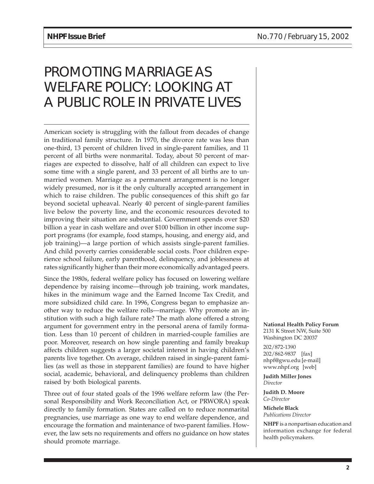# PROMOTING MARRIAGE AS WELFARE POLICY: LOOKING AT A PUBLIC ROLE IN PRIVATE LIVES

American society is struggling with the fallout from decades of change in traditional family structure. In 1970, the divorce rate was less than one-third, 13 percent of children lived in single-parent families, and 11 percent of all births were nonmarital. Today, about 50 percent of marriages are expected to dissolve, half of all children can expect to live some time with a single parent, and 33 percent of all births are to unmarried women. Marriage as a permanent arrangement is no longer widely presumed, nor is it the only culturally accepted arrangement in which to raise children. The public consequences of this shift go far beyond societal upheaval. Nearly 40 percent of single-parent families live below the poverty line, and the economic resources devoted to improving their situation are substantial. Government spends over \$20 billion a year in cash welfare and over \$100 billion in other income support programs (for example, food stamps, housing, and energy aid, and job training)—a large portion of which assists single-parent families. And child poverty carries considerable social costs. Poor children experience school failure, early parenthood, delinquency, and joblessness at rates significantly higher than their more economically advantaged peers.

Since the 1980s, federal welfare policy has focused on lowering welfare dependence by raising income—through job training, work mandates, hikes in the minimum wage and the Earned Income Tax Credit, and more subsidized child care. In 1996, Congress began to emphasize another way to reduce the welfare rolls—marriage. Why promote an institution with such a high failure rate? The math alone offered a strong argument for government entry in the personal arena of family formation. Less than 10 percent of children in married-couple families are poor. Moreover, research on how single parenting and family breakup affects children suggests a larger societal interest in having children's parents live together. On average, children raised in single-parent families (as well as those in stepparent families) are found to have higher social, academic, behavioral, and delinquency problems than children raised by both biological parents.

Three out of four stated goals of the 1996 welfare reform law (the Personal Responsibility and Work Reconciliation Act, or PRWORA) speak directly to family formation. States are called on to reduce nonmarital pregnancies, use marriage as one way to end welfare dependence, and encourage the formation and maintenance of two-parent families. However, the law sets no requirements and offers no guidance on how states should promote marriage.

**National Health Policy Forum** 2131 K Street NW, Suite 500 Washington DC 20037

202/872-1390 202/862-9837 [fax] nhpf@gwu.edu [e-mail] www.nhpf.org [web]

**Judith Miller Jones** *Director*

**Judith D. Moore** *Co-Director*

**Michele Black** *Publications Director*

**NHPF** is a nonpartisan education and information exchange for federal health policymakers.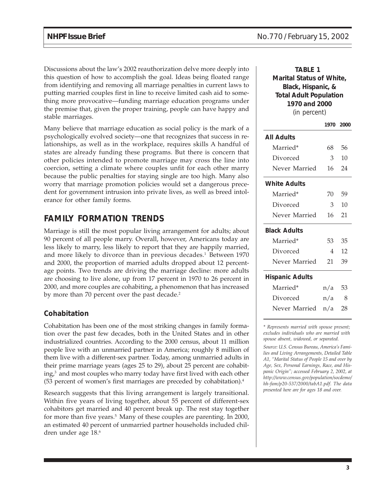Discussions about the law's 2002 reauthorization delve more deeply into this question of how to accomplish the goal. Ideas being floated range from identifying and removing all marriage penalties in current laws to putting married couples first in line to receive limited cash aid to something more provocative—funding marriage education programs under the premise that, given the proper training, people can have happy and stable marriages.

Many believe that marriage education as social policy is the mark of a psychologically evolved society—one that recognizes that success in relationships, as well as in the workplace, requires skills A handful of states are already funding these programs. But there is concern that other policies intended to promote marriage may cross the line into coercion, setting a climate where couples unfit for each other marry because the public penalties for staying single are too high. Many also worry that marriage promotion policies would set a dangerous precedent for government intrusion into private lives, as well as breed intolerance for other family forms.

## **FAMILY FORMATION TRENDS**

Marriage is still the most popular living arrangement for adults; about 90 percent of all people marry. Overall, however, Americans today are less likely to marry, less likely to report that they are happily married, and more likely to divorce than in previous decades.<sup>1</sup> Between 1970 and 2000, the proportion of married adults dropped about 12 percentage points. Two trends are driving the marriage decline: more adults are choosing to live alone, up from 17 percent in 1970 to 26 percent in 2000, and more couples are cohabiting, a phenomenon that has increased by more than 70 percent over the past decade.<sup>2</sup>

### **Cohabitation**

Cohabitation has been one of the most striking changes in family formation over the past few decades, both in the United States and in other industrialized countries. According to the 2000 census, about 11 million people live with an unmarried partner in America; roughly 8 million of them live with a different-sex partner. Today, among unmarried adults in their prime marriage years (ages 25 to 29), about 25 percent are cohabiting,<sup>3</sup> and most couples who marry today have first lived with each other (53 percent of women's first marriages are preceded by cohabitation).4

Research suggests that this living arrangement is largely transitional. Within five years of living together, about 55 percent of different-sex cohabitors get married and 40 percent break up. The rest stay together for more than five years.<sup>5</sup> Many of these couples are parenting. In 2000, an estimated 40 percent of unmarried partner households included children under age 18.<sup>6</sup>

#### **TABLE 1 Marital Status of White, Black, Hispanic, & Total Adult Population 1970 and 2000** (in percent)

|                        | 1970 - | 2000 |
|------------------------|--------|------|
| <b>All Adults</b>      |        |      |
| Married*               | 68     | 56   |
| Divorced               | 3      | 10   |
| Never Married          | 16     | 24   |
| <b>White Adults</b>    |        |      |
| Married <sup>*</sup>   | 70     | 59   |
| Divorced               | 3      | 10   |
| Never Married          | 16     | 21   |
| <b>Black Adults</b>    |        |      |
| Married <sup>*</sup>   | 53     | 35   |
| Divorced               | 4      | 12   |
| Never Married          | 21     | 39   |
| <b>Hispanic Adults</b> |        |      |
| Married <sup>*</sup>   | n/a    | 53   |
| Divorced               | n/a    | 8    |
| Never Married          | n/a    | 28   |
|                        |        |      |

*<sup>\*</sup> Represents married with spouse present; excludes individuals who are married with spouse absent, widowed, or separated.*

*Source: U.S. Census Bureau, America's Families and Living Arrangements, Detailed Table A1, "Marital Status of People 15 and over by Age, Sex, Personal Earnings, Race, and Hispanic Origin"; accessed February 2, 2002, at http://www.census.gov/population/socdemo/ hh-fam/p20-537/2000/tabA1.pdf. The data presented here are for ages 18 and over.*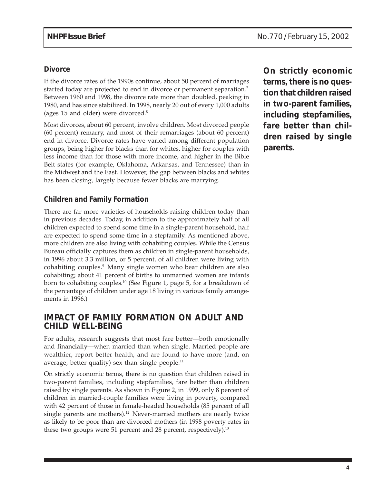#### **Divorce**

If the divorce rates of the 1990s continue, about 50 percent of marriages started today are projected to end in divorce or permanent separation.<sup>7</sup> Between 1960 and 1998, the divorce rate more than doubled, peaking in 1980, and has since stabilized. In 1998, nearly 20 out of every 1,000 adults (ages 15 and older) were divorced.8

Most divorces, about 60 percent, involve children. Most divorced people (60 percent) remarry, and most of their remarriages (about 60 percent) end in divorce. Divorce rates have varied among different population groups, being higher for blacks than for whites, higher for couples with less income than for those with more income, and higher in the Bible Belt states (for example, Oklahoma, Arkansas, and Tennessee) than in the Midwest and the East. However, the gap between blacks and whites has been closing, largely because fewer blacks are marrying.

### **Children and Family Formation**

There are far more varieties of households raising children today than in previous decades. Today, in addition to the approximately half of all children expected to spend some time in a single-parent household, half are expected to spend some time in a stepfamily. As mentioned above, more children are also living with cohabiting couples. While the Census Bureau officially captures them as children in single-parent households, in 1996 about 3.3 million, or 5 percent, of all children were living with cohabiting couples.9 Many single women who bear children are also cohabiting; about 41 percent of births to unmarried women are infants born to cohabiting couples.10 (See Figure 1, page 5, for a breakdown of the percentage of children under age 18 living in various family arrangements in 1996.)

## **IMPACT OF FAMILY FORMATION ON ADULT AND CHILD WELL-BEING**

For adults, research suggests that most fare better—both emotionally and financially—when married than when single. Married people are wealthier, report better health, and are found to have more (and, on average, better-quality) sex than single people.<sup>11</sup>

On strictly economic terms, there is no question that children raised in two-parent families, including stepfamilies, fare better than children raised by single parents. As shown in Figure 2, in 1999, only 8 percent of children in married-couple families were living in poverty, compared with 42 percent of those in female-headed households (85 percent of all single parents are mothers).<sup>12</sup> Never-married mothers are nearly twice as likely to be poor than are divorced mothers (in 1998 poverty rates in these two groups were 51 percent and 28 percent, respectively).<sup>13</sup>

**On strictly economic terms, there is no question that children raised in two-parent families, including stepfamilies, fare better than children raised by single parents.**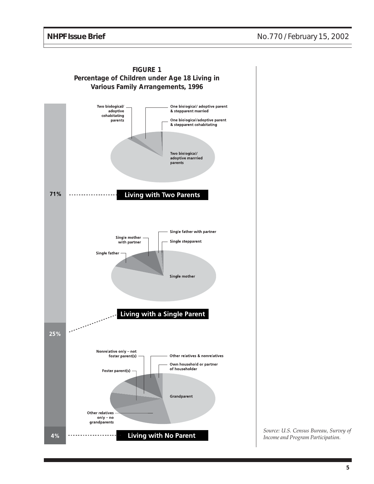

*Source: U.S. Census Bureau, Survey of Income and Program Participation.*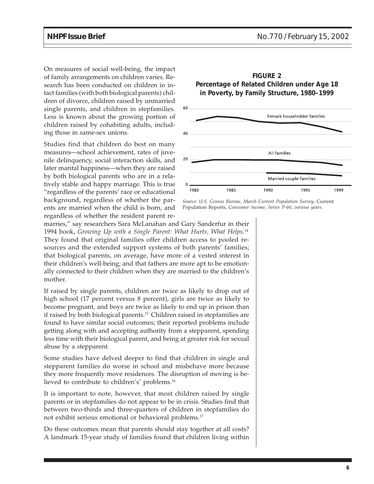On measures of social well-being, the impact of family arrangements on children varies. Research has been conducted on children in intact families (with both biological parents) children of divorce, children raised by unmarried single parents, and children in stepfamilies. Less is known about the growing portion of children raised by cohabiting adults, including those in same-sex unions.

Studies find that children do best on many measures—school achievement, rates of juvenile delinquency, social interaction skills, and later marital happiness—when they are raised by both biological parents who are in a relatively stable and happy marriage. This is true "regardless of the parents' race or educational background, regardless of whether the parents are married when the child is born, and regardless of whether the resident parent re-



**FIGURE 2**



*Source: U.S. Census Bureau, March Current Population Survey,* Current Population Reports, *Consumer income, Series P-60, various years.*

marries," say researchers Sara McLanahan and Gary Sanderfur in their 1994 book, *Growing Up with a Single Parent: What Hurts, What Helps*. 14 They found that original families offer children access to pooled resources and the extended support systems of both parents' families; that biological parents, on average, have more of a vested interest in their children's well-being; and that fathers are more apt to be emotionally connected to their children when they are married to the children's mother.

If raised by single parents, children are twice as likely to drop out of high school (17 percent versus 8 percent), girls are twice as likely to become pregnant, and boys are twice as likely to end up in prison than if raised by both biological parents.15 Children raised in stepfamilies are found to have similar social outcomes; their reported problems include getting along with and accepting authority from a stepparent, spending less time with their biological parent, and being at greater risk for sexual abuse by a stepparent.

Some studies have delved deeper to find that children in single and stepparent families do worse in school and misbehave more because they more frequently move residences. The disruption of moving is believed to contribute to children's' problems.<sup>16</sup>

It is important to note, however, that most children raised by single parents or in stepfamilies do not appear to be in crisis. Studies find that between two-thirds and three-quarters of children in stepfamilies do not exhibit serious emotional or behavioral problems.17

Do these outcomes mean that parents should stay together at all costs? A landmark 15-year study of families found that children living within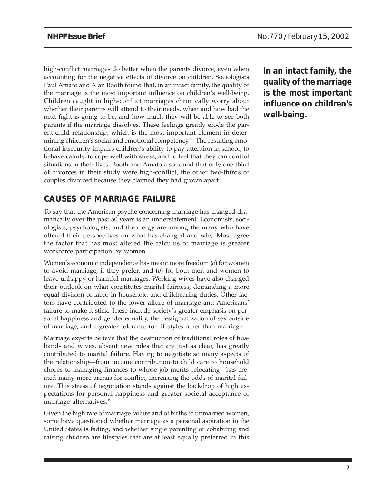high-conflict marriages do better when the parents divorce, even when accounting for the negative effects of divorce on children. Sociologists Paul Amato and Alan Booth found that, in an intact family, the quality of the marriage is the most important influence on children's well-being. Children caught in high-conflict marriages chronically worry about whether their parents will attend to their needs, when and how bad the next fight is going to be, and how much they will be able to see both parents if the marriage dissolves. These feelings greatly erode the parent-child relationship, which is the most important element in determining children's social and emotional competency.<sup>18</sup> The resulting emotional insecurity impairs children's ability to pay attention in school, to behave calmly, to cope well with stress, and to feel that they can control situations in their lives. Booth and Amato also found that only one-third of divorces in their study were high-conflict, the other two-thirds of couples divorced because they claimed they had grown apart.

# **CAUSES OF MARRIAGE FAILURE**

To say that the American psyche concerning marriage has changed dramatically over the past 50 years is an understatement. Economists, sociologists, psychologists, and the clergy are among the many who have offered their perspectives on what has changed and why. Most agree the factor that has most altered the calculus of marriage is greater workforce participation by women.

Women's economic independence has meant more freedom (*a*) for women to avoid marriage, if they prefer, and (*b*) for both men and women to leave unhappy or harmful marriages. Working wives have also changed their outlook on what constitutes marital fairness, demanding a more equal division of labor in household and childrearing duties. Other factors have contributed to the lower allure of marriage and Americans' failure to make it stick. These include society's greater emphasis on personal happiness and gender equality, the destigmatization of sex outside of marriage, and a greater tolerance for lifestyles other than marriage.

Marriage experts believe that the destruction of traditional roles of husbands and wives, absent new roles that are just as clear, has greatly contributed to marital failure. Having to negotiate so many aspects of the relationship—from income contribution to child care to household chores to managing finances to whose job merits relocating—has created many more arenas for conflict, increasing the odds of marital failure. This stress of negotiation stands against the backdrop of high expectations for personal happiness and greater societal acceptance of marriage alternatives.<sup>19</sup>

Given the high rate of marriage failure and of births to unmarried women, some have questioned whether marriage as a personal aspiration in the United States is fading, and whether single parenting or cohabiting and raising children are lifestyles that are at least equally preferred in this **In an intact family, the quality of the marriage is the most important influence on children's well-being.**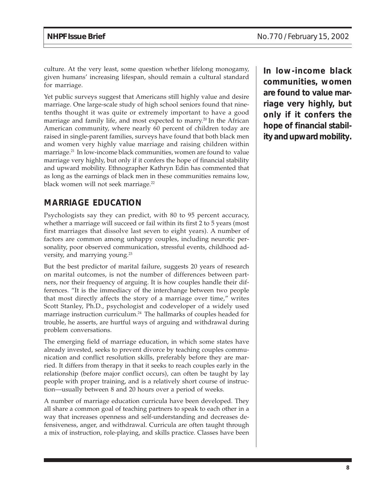culture. At the very least, some question whether lifelong monogamy, given humans' increasing lifespan, should remain a cultural standard for marriage.

Yet public surveys suggest that Americans still highly value and desire marriage. One large-scale study of high school seniors found that ninetenths thought it was quite or extremely important to have a good marriage and family life, and most expected to marry.<sup>20</sup> In the African American community, where nearly 60 percent of children today are raised in single-parent families, surveys have found that both black men and women very highly value marriage and raising children within marriage.<sup>21</sup> In low-income black communities, women are found to value marriage very highly, but only if it confers the hope of financial stability and upward mobility. Ethnographer Kathryn Edin has commented that as long as the earnings of black men in these communities remains low, black women will not seek marriage.<sup>22</sup>

# **MARRIAGE EDUCATION**

Psychologists say they can predict, with 80 to 95 percent accuracy, whether a marriage will succeed or fail within its first 2 to 5 years (most first marriages that dissolve last seven to eight years). A number of factors are common among unhappy couples, including neurotic personality, poor observed communication, stressful events, childhood adversity, and marrying young.<sup>23</sup>

But the best predictor of marital failure, suggests 20 years of research on marital outcomes, is not the number of differences between partners, nor their frequency of arguing. It is how couples handle their differences. "It is the immediacy of the interchange between two people that most directly affects the story of a marriage over time," writes Scott Stanley, Ph.D., psychologist and codeveloper of a widely used marriage instruction curriculum.<sup>24</sup> The hallmarks of couples headed for trouble, he asserts, are hurtful ways of arguing and withdrawal during problem conversations.

The emerging field of marriage education, in which some states have already invested, seeks to prevent divorce by teaching couples communication and conflict resolution skills, preferably before they are married. It differs from therapy in that it seeks to reach couples early in the relationship (before major conflict occurs), can often be taught by lay people with proper training, and is a relatively short course of instruction—usually between 8 and 20 hours over a period of weeks.

A number of marriage education curricula have been developed. They all share a common goal of teaching partners to speak to each other in a way that increases openness and self-understanding and decreases defensiveness, anger, and withdrawal. Curricula are often taught through a mix of instruction, role-playing, and skills practice. Classes have been

**In low-income black communities, women are found to value marriage very highly, but only if it confers the hope of financial stability and upward mobility.**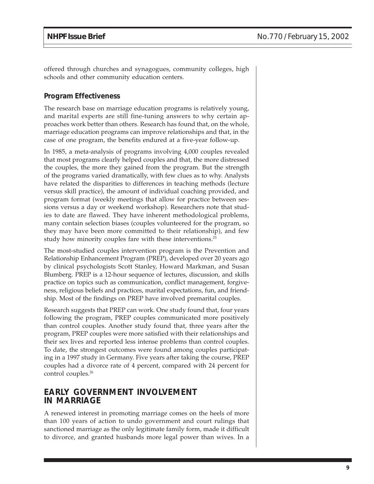offered through churches and synagogues, community colleges, high schools and other community education centers.

### **Program Effectiveness**

The research base on marriage education programs is relatively young, and marital experts are still fine-tuning answers to why certain approaches work better than others. Research has found that, on the whole, marriage education programs can improve relationships and that, in the case of one program, the benefits endured at a five-year follow-up.

In 1985, a meta-analysis of programs involving 4,000 couples revealed that most programs clearly helped couples and that, the more distressed the couples, the more they gained from the program. But the strength of the programs varied dramatically, with few clues as to why. Analysts have related the disparities to differences in teaching methods (lecture versus skill practice), the amount of individual coaching provided, and program format (weekly meetings that allow for practice between sessions versus a day or weekend workshop). Researchers note that studies to date are flawed. They have inherent methodological problems, many contain selection biases (couples volunteered for the program, so they may have been more committed to their relationship), and few study how minority couples fare with these interventions.<sup>25</sup>

The most-studied couples intervention program is the Prevention and Relationship Enhancement Program (PREP), developed over 20 years ago by clinical psychologists Scott Stanley, Howard Markman, and Susan Blumberg. PREP is a 12-hour sequence of lectures, discussion, and skills practice on topics such as communication, conflict management, forgiveness, religious beliefs and practices, marital expectations, fun, and friendship. Most of the findings on PREP have involved premarital couples.

Research suggests that PREP can work. One study found that, four years following the program, PREP couples communicated more positively than control couples. Another study found that, three years after the program, PREP couples were more satisfied with their relationships and their sex lives and reported less intense problems than control couples. To date, the strongest outcomes were found among couples participating in a 1997 study in Germany. Five years after taking the course, PREP couples had a divorce rate of 4 percent, compared with 24 percent for control couples.26

### **EARLY GOVERNMENT INVOLVEMENT IN MARRIAGE**

A renewed interest in promoting marriage comes on the heels of more than 100 years of action to undo government and court rulings that sanctioned marriage as the only legitimate family form, made it difficult to divorce, and granted husbands more legal power than wives. In a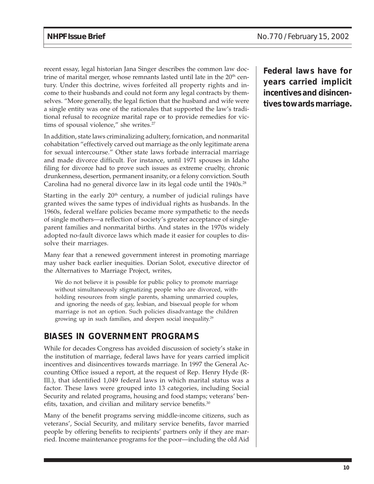recent essay, legal historian Jana Singer describes the common law doctrine of marital merger, whose remnants lasted until late in the  $20<sup>th</sup>$  century. Under this doctrine, wives forfeited all property rights and income to their husbands and could not form any legal contracts by themselves. "More generally, the legal fiction that the husband and wife were a single entity was one of the rationales that supported the law's traditional refusal to recognize marital rape or to provide remedies for victims of spousal violence," she writes.<sup>27</sup>

In addition, state laws criminalizing adultery, fornication, and nonmarital cohabitation "effectively carved out marriage as the only legitimate arena for sexual intercourse." Other state laws forbade interracial marriage and made divorce difficult. For instance, until 1971 spouses in Idaho filing for divorce had to prove such issues as extreme cruelty, chronic drunkenness, desertion, permanent insanity, or a felony conviction. South Carolina had no general divorce law in its legal code until the 1940s.<sup>28</sup>

Starting in the early  $20<sup>th</sup>$  century, a number of judicial rulings have granted wives the same types of individual rights as husbands. In the 1960s, federal welfare policies became more sympathetic to the needs of single mothers—a reflection of society's greater acceptance of singleparent families and nonmarital births. And states in the 1970s widely adopted no-fault divorce laws which made it easier for couples to dissolve their marriages.

Many fear that a renewed government interest in promoting marriage may usher back earlier inequities. Dorian Solot, executive director of the Alternatives to Marriage Project, writes,

We do not believe it is possible for public policy to promote marriage without simultaneously stigmatizing people who are divorced, withholding resources from single parents, shaming unmarried couples, and ignoring the needs of gay, lesbian, and bisexual people for whom marriage is not an option. Such policies disadvantage the children growing up in such families, and deepen social inequality.29

## **BIASES IN GOVERNMENT PROGRAMS**

While for decades Congress has avoided discussion of society's stake in the institution of marriage, federal laws have for years carried implicit incentives and disincentives towards marriage. In 1997 the General Accounting Office issued a report, at the request of Rep. Henry Hyde (R-Ill.), that identified 1,049 federal laws in which marital status was a factor. These laws were grouped into 13 categories, including Social Security and related programs, housing and food stamps; veterans' benefits, taxation, and civilian and military service benefits.<sup>30</sup>

Many of the benefit programs serving middle-income citizens, such as veterans', Social Security, and military service benefits, favor married people by offering benefits to recipients' partners only if they are married. Income maintenance programs for the poor—including the old Aid **Federal laws have for years carried implicit incentives and disincentives towards marriage.**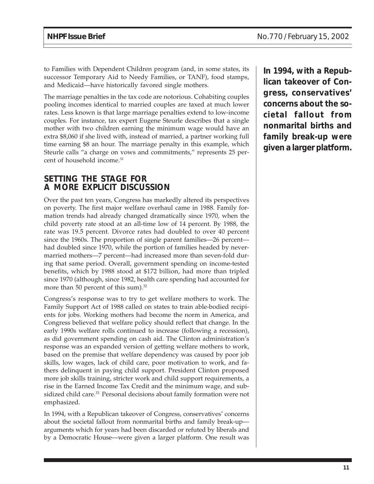to Families with Dependent Children program (and, in some states, its successor Temporary Aid to Needy Families, or TANF), food stamps, and Medicaid—have historically favored single mothers.

The marriage penalties in the tax code are notorious. Cohabiting couples pooling incomes identical to married couples are taxed at much lower rates. Less known is that large marriage penalties extend to low-income couples. For instance, tax expert Eugene Steurle describes that a single mother with two children earning the minimum wage would have an extra \$8,060 if she lived with, instead of married, a partner working full time earning \$8 an hour. The marriage penalty in this example, which Steurle calls "a charge on vows and commitments," represents 25 percent of household income.31

## **SETTING THE STAGE FOR A MORE EXPLICIT DISCUSSION**

Over the past ten years, Congress has markedly altered its perspectives on poverty. The first major welfare overhaul came in 1988. Family formation trends had already changed dramatically since 1970, when the child poverty rate stood at an all-time low of 14 percent. By 1988, the rate was 19.5 percent. Divorce rates had doubled to over 40 percent since the 1960s. The proportion of single parent families—26 percent had doubled since 1970, while the portion of families headed by nevermarried mothers—7 percent—had increased more than seven-fold during that same period. Overall, government spending on income-tested benefits, which by 1988 stood at \$172 billion, had more than tripled since 1970 (although, since 1982, health care spending had accounted for more than 50 percent of this sum).<sup>32</sup>

Congress's response was to try to get welfare mothers to work. The Family Support Act of 1988 called on states to train able-bodied recipients for jobs. Working mothers had become the norm in America, and Congress believed that welfare policy should reflect that change. In the early 1990s welfare rolls continued to increase (following a recession), as did government spending on cash aid. The Clinton administration's response was an expanded version of getting welfare mothers to work, based on the premise that welfare dependency was caused by poor job skills, low wages, lack of child care, poor motivation to work, and fathers delinquent in paying child support. President Clinton proposed more job skills training, stricter work and child support requirements, a rise in the Earned Income Tax Credit and the minimum wage, and subsidized child care.<sup>33</sup> Personal decisions about family formation were not emphasized.

In 1994, with a Republican takeover of Congress, conservatives' concerns about the societal fallout from nonmarital births and family break-up arguments which for years had been discarded or refuted by liberals and by a Democratic House—were given a larger platform. One result was **In 1994, with a Republican takeover of Congress, conservatives' concerns about the societal fallout from nonmarital births and family break-up were given a larger platform.**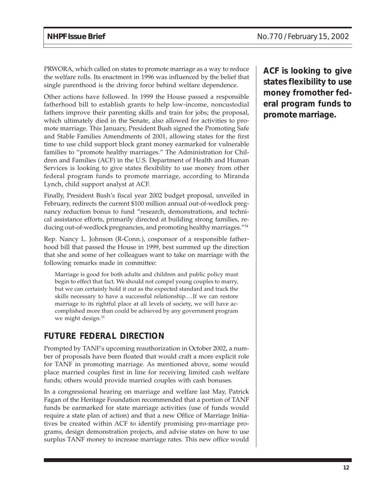PRWORA, which called on states to promote marriage as a way to reduce the welfare rolls. Its enactment in 1996 was influenced by the belief that single parenthood is the driving force behind welfare dependence.

Other actions have followed. In 1999 the House passed a responsible fatherhood bill to establish grants to help low-income, noncustodial fathers improve their parenting skills and train for jobs; the proposal, which ultimately died in the Senate, also allowed for activities to promote marriage. This January, President Bush signed the Promoting Safe and Stable Families Amendments of 2001, allowing states for the first time to use child support block grant money earmarked for vulnerable families to "promote healthy marriages." The Administration for Children and Families (ACF) in the U.S. Department of Health and Human Services is looking to give states flexibility to use money from other federal program funds to promote marriage, according to Miranda Lynch, child support analyst at ACF.

Finally, President Bush's fiscal year 2002 budget proposal, unveiled in February, redirects the current \$100 million annual out-of-wedlock pregnancy reduction bonus to fund "research, demonstrations, and technical assistance efforts, primarily directed at building strong families, reducing out-of-wedlock pregnancies, and promoting healthy marriages."<sup>34</sup>

Rep. Nancy L. Johnson (R-Conn.), cosponsor of a responsible fatherhood bill that passed the House in 1999, best summed up the direction that she and some of her colleagues want to take on marriage with the following remarks made in committee:

Marriage is good for both adults and children and public policy must begin to effect that fact. We should not compel young couples to marry, but we can certainly hold it out as the expected standard and track the skills necessary to have a successful relationship.…If we can restore marriage to its rightful place at all levels of society, we will have accomplished more than could be achieved by any government program we might design.35

## **FUTURE FEDERAL DIRECTION**

Prompted by TANF's upcoming reauthorization in October 2002, a number of proposals have been floated that would craft a more explicit role for TANF in promoting marriage. As mentioned above, some would place married couples first in line for receiving limited cash welfare funds; others would provide married couples with cash bonuses.

In a congressional hearing on marriage and welfare last May, Patrick Fagan of the Heritage Foundation recommended that a portion of TANF funds be earmarked for state marriage activities (use of funds would require a state plan of action) and that a new Office of Marriage Initiatives be created within ACF to identify promising pro-marriage programs, design demonstration projects, and advise states on how to use surplus TANF money to increase marriage rates. This new office would **ACF is looking to give states flexibility to use money fromother federal program funds to promote marriage.**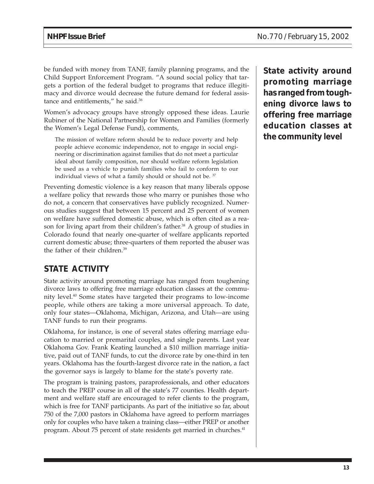be funded with money from TANF, family planning programs, and the Child Support Enforcement Program. "A sound social policy that targets a portion of the federal budget to programs that reduce illegitimacy and divorce would decrease the future demand for federal assistance and entitlements," he said.36

Women's advocacy groups have strongly opposed these ideas. Laurie Rubiner of the National Partnership for Women and Families (formerly the Women's Legal Defense Fund), comments,

The mission of welfare reform should be to reduce poverty and help people achieve economic independence, not to engage in social engineering or discrimination against families that do not meet a particular ideal about family composition, nor should welfare reform legislation be used as a vehicle to punish families who fail to conform to our individual views of what a family should or should not be. <sup>37</sup>

Preventing domestic violence is a key reason that many liberals oppose a welfare policy that rewards those who marry or punishes those who do not, a concern that conservatives have publicly recognized. Numerous studies suggest that between 15 percent and 25 percent of women on welfare have suffered domestic abuse, which is often cited as a reason for living apart from their children's father.<sup>38</sup> A group of studies in Colorado found that nearly one-quarter of welfare applicants reported current domestic abuse; three-quarters of them reported the abuser was the father of their children.39

## **STATE ACTIVITY**

State activity around promoting marriage has ranged from toughening divorce laws to offering free marriage education classes at the community level.40 Some states have targeted their programs to low-income people, while others are taking a more universal approach. To date, only four states—Oklahoma, Michigan, Arizona, and Utah—are using TANF funds to run their programs.

Oklahoma, for instance, is one of several states offering marriage education to married or premarital couples, and single parents. Last year Oklahoma Gov. Frank Keating launched a \$10 million marriage initiative, paid out of TANF funds, to cut the divorce rate by one-third in ten years. Oklahoma has the fourth-largest divorce rate in the nation, a fact the governor says is largely to blame for the state's poverty rate.

The program is training pastors, paraprofessionals, and other educators to teach the PREP course in all of the state's 77 counties. Health department and welfare staff are encouraged to refer clients to the program, which is free for TANF participants. As part of the initiative so far, about 750 of the 7,000 pastors in Oklahoma have agreed to perform marriages only for couples who have taken a training class—either PREP or another program. About 75 percent of state residents get married in churches.<sup>41</sup>

**State activity around promoting marriage has ranged from toughening divorce laws to offering free marriage education classes at the community level**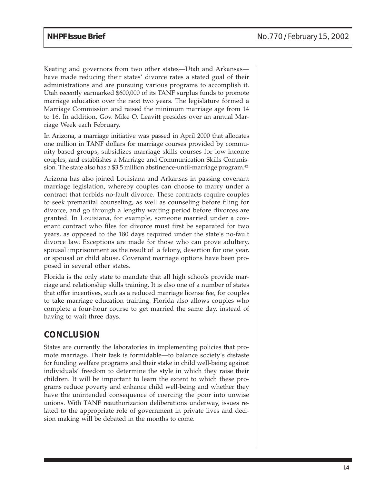Keating and governors from two other states—Utah and Arkansas have made reducing their states' divorce rates a stated goal of their administrations and are pursuing various programs to accomplish it. Utah recently earmarked \$600,000 of its TANF surplus funds to promote marriage education over the next two years. The legislature formed a Marriage Commission and raised the minimum marriage age from 14 to 16. In addition, Gov. Mike O. Leavitt presides over an annual Marriage Week each February.

In Arizona**,** a marriage initiative was passed in April 2000 that allocates one million in TANF dollars for marriage courses provided by community-based groups, subsidizes marriage skills courses for low-income couples, and establishes a Marriage and Communication Skills Commission. The state also has a  $$3.5$  million abstinence-until-marriage program.<sup>42</sup>

Arizona has also joined Louisiana and Arkansas in passing covenant marriage legislation, whereby couples can choose to marry under a contract that forbids no-fault divorce. These contracts require couples to seek premarital counseling, as well as counseling before filing for divorce, and go through a lengthy waiting period before divorces are granted. In Louisiana, for example, someone married under a covenant contract who files for divorce must first be separated for two years, as opposed to the 180 days required under the state's no-fault divorce law. Exceptions are made for those who can prove adultery, spousal imprisonment as the result of a felony, desertion for one year, or spousal or child abuse. Covenant marriage options have been proposed in several other states.

Florida is the only state to mandate that all high schools provide marriage and relationship skills training. It is also one of a number of states that offer incentives, such as a reduced marriage license fee, for couples to take marriage education training. Florida also allows couples who complete a four-hour course to get married the same day, instead of having to wait three days.

## **CONCLUSION**

States are currently the laboratories in implementing policies that promote marriage. Their task is formidable—to balance society's distaste for funding welfare programs and their stake in child well-being against individuals' freedom to determine the style in which they raise their children. It will be important to learn the extent to which these programs reduce poverty and enhance child well-being and whether they have the unintended consequence of coercing the poor into unwise unions. With TANF reauthorization deliberations underway, issues related to the appropriate role of government in private lives and decision making will be debated in the months to come.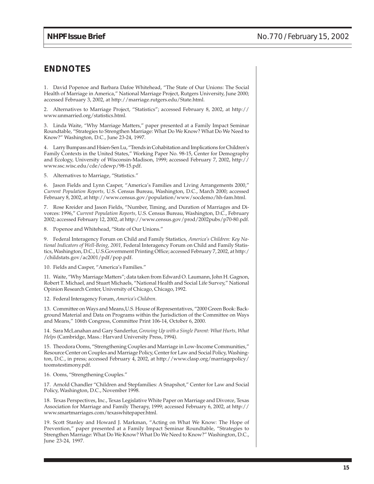## **ENDNOTES**

1. David Popenoe and Barbara Dafoe Whitehead, "The State of Our Unions: The Social Health of Marriage in America," National Marriage Project, Rutgers University, June 2000; accessed February 3, 2002, at http://marriage.rutgers.edu/State.html.

2. Alternatives to Marriage Project, "Statistics"; accessed February 8, 2002, at http:// www.unmarried.org/statistics.html.

3. Linda Waite, "Why Marriage Matters," paper presented at a Family Impact Seminar Roundtable, "Strategies to Strengthen Marriage: What Do We Know? What Do We Need to Know?" Washington, D.C., June 23-24, 1997.

4. Larry Bumpass and Hsien-Sen Lu, "Trends in Cohabitation and Implications for Children's Family Contexts in the United States," Working Paper No. 98-15, Center for Demography and Ecology, University of Wisconsin-Madison, 1999; accessed February 7, 2002, http:// www.ssc.wisc.edu/cde/cdewp/98-15.pdf.

5. Alternatives to Marriage, "Statistics."

6. Jason Fields and Lynn Casper, "America's Families and Living Arrangements 2000," *Current Population Reports,* U.S. Census Bureau, Washington, D.C., March 2000; accessed February 8, 2002, at http://www.census.gov/population/www/socdemo/hh-fam.html.

7. Rose Kreider and Jason Fields, "Number, Timing, and Duration of Marriages and Divorces: 1996," *Current Population Reports,* U.S. Census Bureau, Washington, D.C., February 2002; accessed February 12, 2002, at http://www.census.gov/prod/2002pubs/p70-80.pdf.

8. Popenoe and Whitehead, "State of Our Unions."

9. Federal Interagency Forum on Child and Family Statistics, *America's Children: Key National Indicators of Well-Being, 2001,* Federal Interagency Forum on Child and Family Statistics, Washington, D.C., U.S.Government Printing Office; accessed February 7, 2002, at http:/ /childstats.gov/ac2001/pdf/pop.pdf.

10. Fields and Casper, "America's Families."

11. Waite, "Why Marriage Matters"; data taken from Edward O. Laumann, John H. Gagnon, Robert T. Michael, and Stuart Michaels, "National Health and Social Life Survey," National Opinion Research Center, University of Chicago, Chicago, 1992.

12. Federal Interagency Forum, *America's Children*.

13. Committee on Ways and Means,U.S. House of Representatives, "2000 Green Book: Background Material and Data on Programs within the Jurisdiction of the Committee on Ways and Means," 106th Congress, Committee Print 106-14, October 6, 2000.

14. Sara McLanahan and Gary Sanderfur, *Growing Up with a Single Parent: What Hurts, What Helps* (Cambridge, Mass.: Harvard University Press, 1994).

15. Theodora Ooms, "Strengthening Couples and Marriage in Low-Income Communities," Resource Center on Couples and Marriage Policy, Center for Law and Social Policy, Washington, D.C., in press; accessed February 4, 2002, at http://www.clasp.org/marriagepolicy/ toomstestimony.pdf.

16. Ooms, "Strengthening Couples."

17. Arnold Chandler "Children and Stepfamilies: A Snapshot," Center for Law and Social Policy, Washington, D.C., November 1998.

18. Texas Perspectives, Inc., Texas Legislative White Paper on Marriage and Divorce, Texas Association for Marriage and Family Therapy, 1999; accessed February 6, 2002, at http:// www.smartmarriages.com/texaswhitepaper.html.

19. Scott Stanley and Howard J. Markman, "Acting on What We Know: The Hope of Prevention," paper presented at a Family Impact Seminar Roundtable, "Strategies to Strengthen Marriage: What Do We Know? What Do We Need to Know?" Washington, D.C., June 23-24, 1997.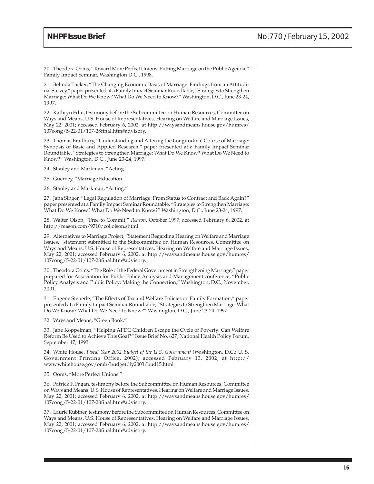20. Theodora Ooms, "Toward More Perfect Unions: Putting Marriage on the Public Agenda," Family Impact Seminar, Washington D.C., 1998.

21. Belinda Tucker, "The Changing Economic Basis of Marriage: Findings from an Attitudinal Survey," paper presented at a Family Impact Seminar Roundtable, "Strategies to Strengthen Marriage: What Do We Know? What Do We Need to Know?" Washington, D.C., June 23-24, 1997.

22. Kathryn Edin, testimony before the Subcommittee on Human Resources, Committee on Ways and Means, U.S. House of Representatives, Hearing on Welfare and Marriage Issues, May 22, 2001; accessed February 6, 2002, at http://waysandmeans.house.gov/humres/ 107cong/5-22-01/107-28final.htm#advisory.

23. Thomas Bradbury, "Understanding and Altering the Longitudinal Course of Marriage: Synopsis of Basic and Applied Research," paper presented at a Family Impact Seminar Roundtable, "Strategies to Strengthen Marriage: What Do We Know? What Do We Need to Know?" Washington, D.C., June 23-24, 1997.

24. Stanley and Markman, "Acting."

25. Guerney, "Marriage Education."

26. Stanley and Markman, "Acting."

27. Jana Singer, "Legal Regulation of Marriage: From Status to Contract and Back Again?" paper presented at a Family Impact Seminar Roundtable, "Strategies to Strengthen Marriage: What Do We Know? What Do We Need to Know?" Washington, D.C., June 23-24, 1997.

28. Walter Olson, "Free to Commit," *Reason*, October 1997; accessed February 6, 2002, at http://reason.com/9710/col.olson.shtml.

29. Alternatives to Marriage Project, "Statement Regarding Hearing on Welfare and Marriage Issues," statement submitted to the Subcommittee on Human Resources, Committee on Ways and Means, U.S. House of Representatives, Hearing on Welfare and Marriage Issues, May 22, 2001; accessed February 6, 2002, at http://waysandmeans.house.gov/humres/ 107cong/5-22-01/107-28final.htm#advisory.

30. Theodora Ooms, "The Role of the Federal Government in Strengthening Marriage," paper prepared for Association for Public Policy Analysis and Management conference, "Public Policy Analysis and Public Policy: Making the Connection," Washington, D.C., November, 2001.

31. Eugene Steuerle, "The Effects of Tax and Welfare Policies on Family Formation," paper presented at a Family Impact Seminar Roundtable, "Strategies to Strengthen Marriage: What Do We Know? What Do We Need to Know?" Washington, D.C., June 23-24, 1997.

32. Ways and Means, "Green Book."

33. Jane Koppelman, "Helping AFDC Children Escape the Cycle of Poverty: Can Welfare Reform Be Used to Achieve This Goal?" Issue Brief No. 627, National Health Policy Forum, September 17, 1993.

34. White House, *Fiscal Year 2002 Budget of the U.S. Government* (Washington, D.C.: U. S. Government Printing Office, 2002); accessed February 13, 2002, at http:// www.whitehouse.gov/omb/budget/fy2003/bud15.html

35. Ooms, "More Perfect Unions."

36. Patrick F. Fagan, testimony before the Subcommittee on Human Resources, Committee on Ways and Means, U.S. House of Representatives, Hearing on Welfare and Marriage Issues, May 22, 2001; accessed February 6, 2002, at http://waysandmeans.house.gov/humres/ 107cong/5-22-01/107-28final.htm#advisory.

37. Laurie Rubiner, testimony before the Subcommittee on Human Resources, Committee on Ways and Means, U.S. House of Representatives, Hearing on Welfare and Marriage Issues, May 22, 2001; accessed February 6, 2002, at http://waysandmeans.house.gov/humres/ 107cong/5-22-01/107-28final.htm#advisory.